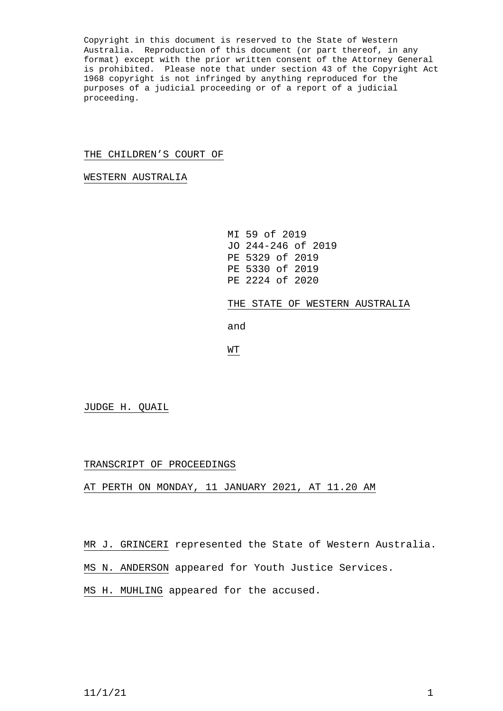Copyright in this document is reserved to the State of Western Australia. Reproduction of this document (or part thereof, in any format) except with the prior written consent of the Attorney General is prohibited. Please note that under section 43 of the Copyright Act 1968 copyright is not infringed by anything reproduced for the purposes of a judicial proceeding or of a report of a judicial proceeding.

## THE CHILDREN'S COURT OF

WESTERN AUSTRALIA

MI 59 of 2019 JO 244-246 of 2019 PE 5329 of 2019 PE 5330 of 2019 PE 2224 of 2020 THE STATE OF WESTERN AUSTRALIA and WT

JUDGE H. QUAIL

## TRANSCRIPT OF PROCEEDINGS

AT PERTH ON MONDAY, 11 JANUARY 2021, AT 11.20 AM

MR J. GRINCERI represented the State of Western Australia.

MS N. ANDERSON appeared for Youth Justice Services.

MS H. MUHLING appeared for the accused.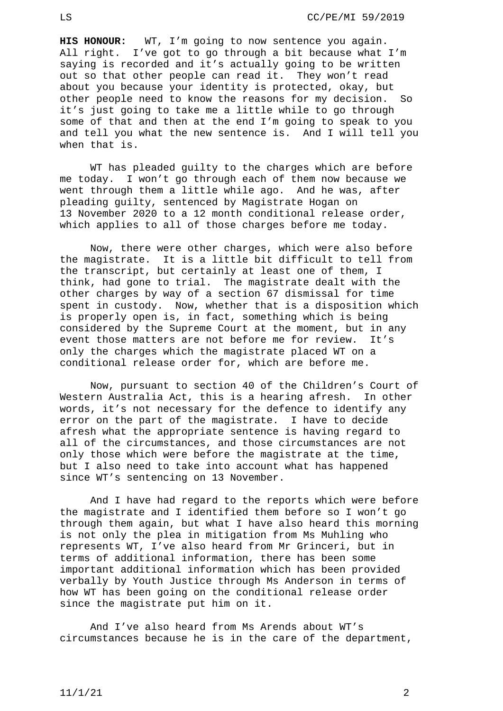**HIS HONOUR:** WT, I'm going to now sentence you again. All right. I've got to go through a bit because what I'm saying is recorded and it's actually going to be written out so that other people can read it. They won't read about you because your identity is protected, okay, but other people need to know the reasons for my decision. So it's just going to take me a little while to go through some of that and then at the end I'm going to speak to you and tell you what the new sentence is. And I will tell you when that is.

WT has pleaded guilty to the charges which are before me today. I won't go through each of them now because we went through them a little while ago. And he was, after pleading guilty, sentenced by Magistrate Hogan on 13 November 2020 to a 12 month conditional release order, which applies to all of those charges before me today.

Now, there were other charges, which were also before the magistrate. It is a little bit difficult to tell from the transcript, but certainly at least one of them, I think, had gone to trial. The magistrate dealt with the other charges by way of a section 67 dismissal for time spent in custody. Now, whether that is a disposition which is properly open is, in fact, something which is being considered by the Supreme Court at the moment, but in any event those matters are not before me for review. It's only the charges which the magistrate placed WT on a conditional release order for, which are before me.

Now, pursuant to section 40 of the Children's Court of Western Australia Act, this is a hearing afresh. In other words, it's not necessary for the defence to identify any error on the part of the magistrate. I have to decide afresh what the appropriate sentence is having regard to all of the circumstances, and those circumstances are not only those which were before the magistrate at the time, but I also need to take into account what has happened since WT's sentencing on 13 November.

And I have had regard to the reports which were before the magistrate and I identified them before so I won't go through them again, but what I have also heard this morning is not only the plea in mitigation from Ms Muhling who represents WT, I've also heard from Mr Grinceri, but in terms of additional information, there has been some important additional information which has been provided verbally by Youth Justice through Ms Anderson in terms of how WT has been going on the conditional release order since the magistrate put him on it.

And I've also heard from Ms Arends about WT's circumstances because he is in the care of the department,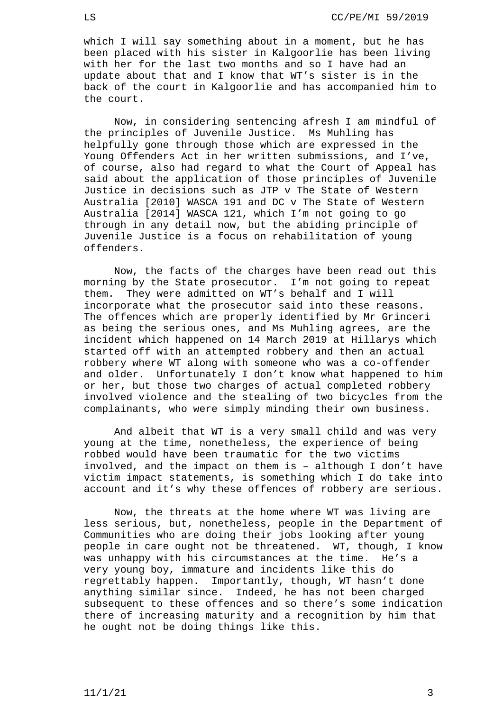which I will say something about in a moment, but he has been placed with his sister in Kalgoorlie has been living with her for the last two months and so I have had an update about that and I know that WT's sister is in the back of the court in Kalgoorlie and has accompanied him to the court.

Now, in considering sentencing afresh I am mindful of the principles of Juvenile Justice. Ms Muhling has helpfully gone through those which are expressed in the Young Offenders Act in her written submissions, and I've, of course, also had regard to what the Court of Appeal has said about the application of those principles of Juvenile Justice in decisions such as JTP v The State of Western Australia [2010] WASCA 191 and DC v The State of Western Australia [2014] WASCA 121, which I'm not going to go through in any detail now, but the abiding principle of Juvenile Justice is a focus on rehabilitation of young offenders.

Now, the facts of the charges have been read out this morning by the State prosecutor. I'm not going to repeat them. They were admitted on WT's behalf and I will incorporate what the prosecutor said into these reasons. The offences which are properly identified by Mr Grinceri as being the serious ones, and Ms Muhling agrees, are the incident which happened on 14 March 2019 at Hillarys which started off with an attempted robbery and then an actual robbery where WT along with someone who was a co-offender and older. Unfortunately I don't know what happened to him or her, but those two charges of actual completed robbery involved violence and the stealing of two bicycles from the complainants, who were simply minding their own business.

And albeit that WT is a very small child and was very young at the time, nonetheless, the experience of being robbed would have been traumatic for the two victims involved, and the impact on them is – although I don't have victim impact statements, is something which I do take into account and it's why these offences of robbery are serious.

Now, the threats at the home where WT was living are less serious, but, nonetheless, people in the Department of Communities who are doing their jobs looking after young people in care ought not be threatened. WT, though, I know was unhappy with his circumstances at the time. He's a very young boy, immature and incidents like this do regrettably happen. Importantly, though, WT hasn't done anything similar since. Indeed, he has not been charged subsequent to these offences and so there's some indication there of increasing maturity and a recognition by him that he ought not be doing things like this.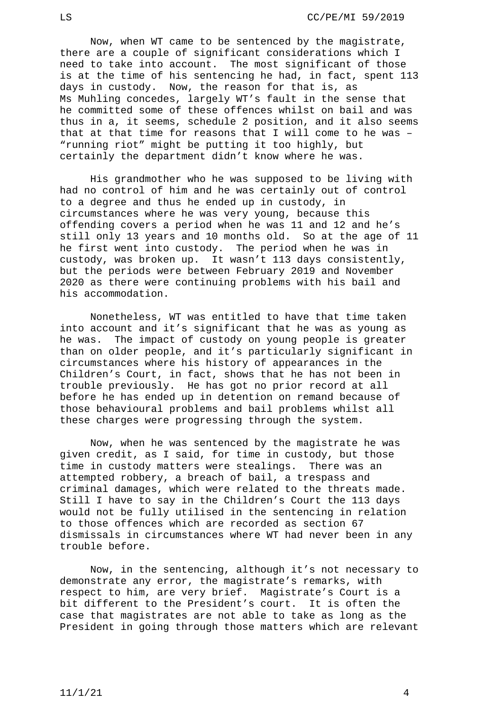Now, when WT came to be sentenced by the magistrate, there are a couple of significant considerations which I need to take into account. The most significant of those is at the time of his sentencing he had, in fact, spent 113 days in custody. Now, the reason for that is, as Ms Muhling concedes, largely WT's fault in the sense that he committed some of these offences whilst on bail and was thus in a, it seems, schedule 2 position, and it also seems that at that time for reasons that I will come to he was – "running riot" might be putting it too highly, but certainly the department didn't know where he was.

His grandmother who he was supposed to be living with had no control of him and he was certainly out of control to a degree and thus he ended up in custody, in circumstances where he was very young, because this offending covers a period when he was 11 and 12 and he's still only 13 years and 10 months old. So at the age of 11 he first went into custody. The period when he was in custody, was broken up. It wasn't 113 days consistently, but the periods were between February 2019 and November 2020 as there were continuing problems with his bail and his accommodation.

Nonetheless, WT was entitled to have that time taken into account and it's significant that he was as young as<br>he was. The impact of custody on young people is greater The impact of custody on young people is greater than on older people, and it's particularly significant in circumstances where his history of appearances in the Children's Court, in fact, shows that he has not been in trouble previously. He has got no prior record at all before he has ended up in detention on remand because of those behavioural problems and bail problems whilst all these charges were progressing through the system.

Now, when he was sentenced by the magistrate he was given credit, as I said, for time in custody, but those time in custody matters were stealings. There was an attempted robbery, a breach of bail, a trespass and criminal damages, which were related to the threats made. Still I have to say in the Children's Court the 113 days would not be fully utilised in the sentencing in relation to those offences which are recorded as section 67 dismissals in circumstances where WT had never been in any trouble before.

Now, in the sentencing, although it's not necessary to demonstrate any error, the magistrate's remarks, with respect to him, are very brief. Magistrate's Court is a bit different to the President's court. It is often the case that magistrates are not able to take as long as the President in going through those matters which are relevant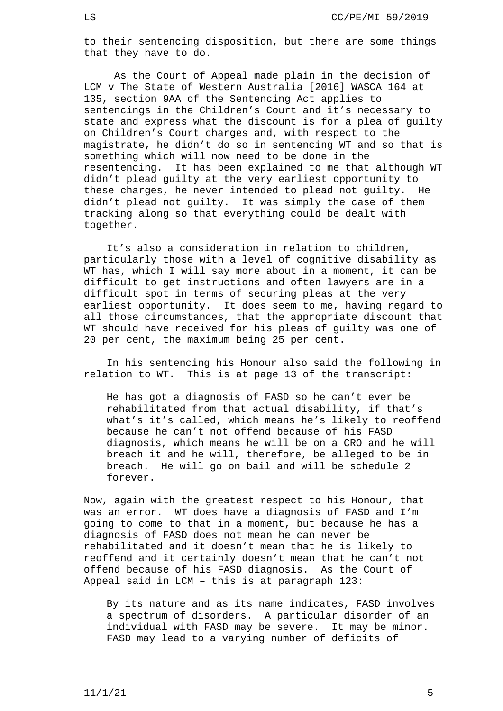to their sentencing disposition, but there are some things that they have to do.

As the Court of Appeal made plain in the decision of LCM v The State of Western Australia [2016] WASCA 164 at 135, section 9AA of the Sentencing Act applies to sentencings in the Children's Court and it's necessary to state and express what the discount is for a plea of guilty on Children's Court charges and, with respect to the magistrate, he didn't do so in sentencing WT and so that is something which will now need to be done in the resentencing. It has been explained to me that although WT didn't plead guilty at the very earliest opportunity to these charges, he never intended to plead not guilty. He didn't plead not guilty. It was simply the case of them tracking along so that everything could be dealt with together.

It's also a consideration in relation to children, particularly those with a level of cognitive disability as WT has, which I will say more about in a moment, it can be difficult to get instructions and often lawyers are in a difficult spot in terms of securing pleas at the very earliest opportunity. It does seem to me, having regard to all those circumstances, that the appropriate discount that WT should have received for his pleas of guilty was one of 20 per cent, the maximum being 25 per cent.

In his sentencing his Honour also said the following in relation to WT. This is at page 13 of the transcript:

He has got a diagnosis of FASD so he can't ever be rehabilitated from that actual disability, if that's what's it's called, which means he's likely to reoffend because he can't not offend because of his FASD diagnosis, which means he will be on a CRO and he will breach it and he will, therefore, be alleged to be in breach. He will go on bail and will be schedule 2 forever.

Now, again with the greatest respect to his Honour, that was an error. WT does have a diagnosis of FASD and I'm going to come to that in a moment, but because he has a diagnosis of FASD does not mean he can never be rehabilitated and it doesn't mean that he is likely to reoffend and it certainly doesn't mean that he can't not offend because of his FASD diagnosis. As the Court of Appeal said in LCM – this is at paragraph 123:

By its nature and as its name indicates, FASD involves a spectrum of disorders. A particular disorder of an individual with FASD may be severe. It may be minor. FASD may lead to a varying number of deficits of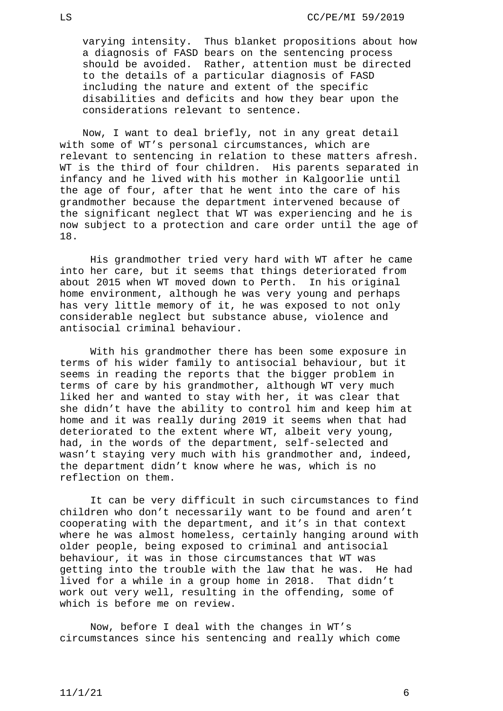varying intensity. Thus blanket propositions about how a diagnosis of FASD bears on the sentencing process should be avoided. Rather, attention must be directed to the details of a particular diagnosis of FASD including the nature and extent of the specific disabilities and deficits and how they bear upon the considerations relevant to sentence.

Now, I want to deal briefly, not in any great detail with some of WT's personal circumstances, which are relevant to sentencing in relation to these matters afresh. WT is the third of four children. His parents separated in infancy and he lived with his mother in Kalgoorlie until the age of four, after that he went into the care of his grandmother because the department intervened because of the significant neglect that WT was experiencing and he is now subject to a protection and care order until the age of 18.

His grandmother tried very hard with WT after he came into her care, but it seems that things deteriorated from about 2015 when WT moved down to Perth. In his original home environment, although he was very young and perhaps has very little memory of it, he was exposed to not only considerable neglect but substance abuse, violence and antisocial criminal behaviour.

With his grandmother there has been some exposure in terms of his wider family to antisocial behaviour, but it seems in reading the reports that the bigger problem in terms of care by his grandmother, although WT very much liked her and wanted to stay with her, it was clear that she didn't have the ability to control him and keep him at home and it was really during 2019 it seems when that had deteriorated to the extent where WT, albeit very young, had, in the words of the department, self-selected and wasn't staying very much with his grandmother and, indeed, the department didn't know where he was, which is no reflection on them.

It can be very difficult in such circumstances to find children who don't necessarily want to be found and aren't cooperating with the department, and it's in that context where he was almost homeless, certainly hanging around with older people, being exposed to criminal and antisocial behaviour, it was in those circumstances that WT was getting into the trouble with the law that he was. He had lived for a while in a group home in 2018. That didn't work out very well, resulting in the offending, some of which is before me on review.

Now, before I deal with the changes in WT's circumstances since his sentencing and really which come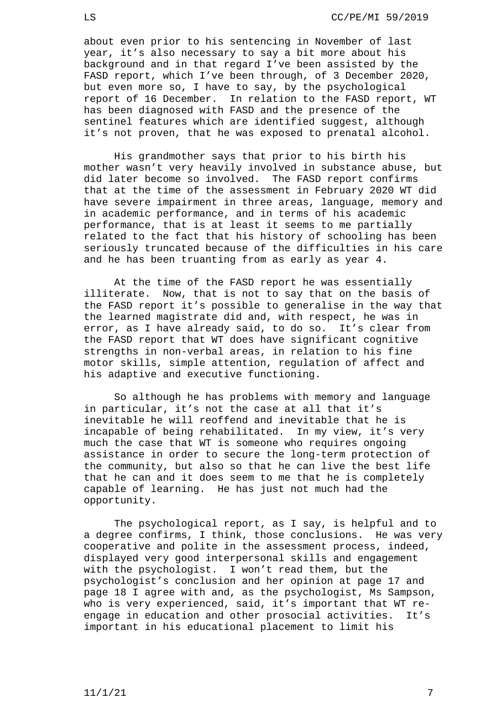about even prior to his sentencing in November of last year, it's also necessary to say a bit more about his background and in that regard I've been assisted by the FASD report, which I've been through, of 3 December 2020, but even more so, I have to say, by the psychological report of 16 December. In relation to the FASD report, WT has been diagnosed with FASD and the presence of the sentinel features which are identified suggest, although it's not proven, that he was exposed to prenatal alcohol.

His grandmother says that prior to his birth his mother wasn't very heavily involved in substance abuse, but did later become so involved. The FASD report confirms that at the time of the assessment in February 2020 WT did have severe impairment in three areas, language, memory and in academic performance, and in terms of his academic performance, that is at least it seems to me partially related to the fact that his history of schooling has been seriously truncated because of the difficulties in his care and he has been truanting from as early as year 4.

At the time of the FASD report he was essentially illiterate. Now, that is not to say that on the basis of the FASD report it's possible to generalise in the way that the learned magistrate did and, with respect, he was in error, as I have already said, to do so. It's clear from the FASD report that WT does have significant cognitive strengths in non-verbal areas, in relation to his fine motor skills, simple attention, regulation of affect and his adaptive and executive functioning.

So although he has problems with memory and language in particular, it's not the case at all that it's inevitable he will reoffend and inevitable that he is incapable of being rehabilitated. In my view, it's very much the case that WT is someone who requires ongoing assistance in order to secure the long-term protection of the community, but also so that he can live the best life that he can and it does seem to me that he is completely capable of learning. He has just not much had the opportunity.

The psychological report, as I say, is helpful and to a degree confirms, I think, those conclusions. He was very cooperative and polite in the assessment process, indeed, displayed very good interpersonal skills and engagement with the psychologist. I won't read them, but the psychologist's conclusion and her opinion at page 17 and page 18 I agree with and, as the psychologist, Ms Sampson, who is very experienced, said, it's important that WT re-<br>engage in education and other prosocial activities. It's engage in education and other prosocial activities. important in his educational placement to limit his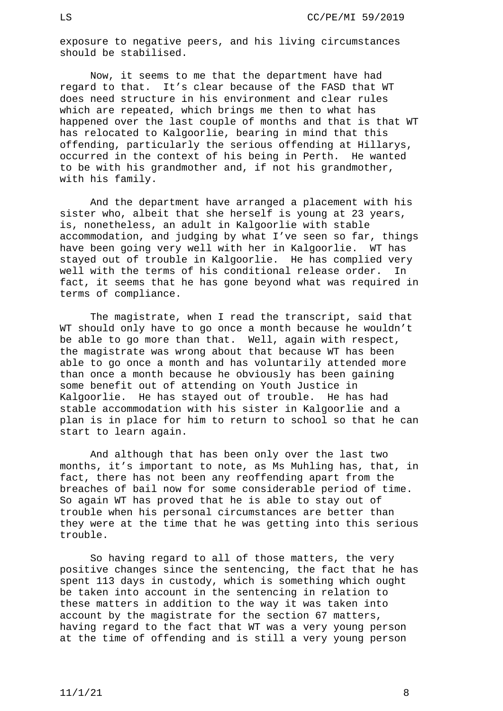exposure to negative peers, and his living circumstances should be stabilised.

Now, it seems to me that the department have had regard to that. It's clear because of the FASD that WT does need structure in his environment and clear rules which are repeated, which brings me then to what has happened over the last couple of months and that is that WT has relocated to Kalgoorlie, bearing in mind that this offending, particularly the serious offending at Hillarys, occurred in the context of his being in Perth. He wanted to be with his grandmother and, if not his grandmother, with his family.

And the department have arranged a placement with his sister who, albeit that she herself is young at 23 years, is, nonetheless, an adult in Kalgoorlie with stable accommodation, and judging by what I've seen so far, things have been going very well with her in Kalgoorlie. WT has stayed out of trouble in Kalgoorlie. He has complied very<br>well with the terms of his conditional release order. In well with the terms of his conditional release order. fact, it seems that he has gone beyond what was required in terms of compliance.

The magistrate, when I read the transcript, said that WT should only have to go once a month because he wouldn't be able to go more than that. Well, again with respect, the magistrate was wrong about that because WT has been able to go once a month and has voluntarily attended more than once a month because he obviously has been gaining some benefit out of attending on Youth Justice in Kalgoorlie. He has stayed out of trouble. He has had stable accommodation with his sister in Kalgoorlie and a plan is in place for him to return to school so that he can start to learn again.

And although that has been only over the last two months, it's important to note, as Ms Muhling has, that, in fact, there has not been any reoffending apart from the breaches of bail now for some considerable period of time. So again WT has proved that he is able to stay out of trouble when his personal circumstances are better than they were at the time that he was getting into this serious trouble.

So having regard to all of those matters, the very positive changes since the sentencing, the fact that he has spent 113 days in custody, which is something which ought be taken into account in the sentencing in relation to these matters in addition to the way it was taken into account by the magistrate for the section 67 matters, having regard to the fact that WT was a very young person at the time of offending and is still a very young person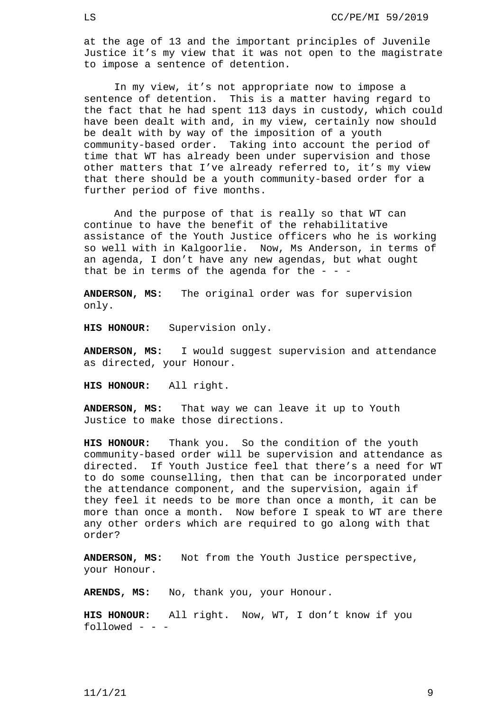at the age of 13 and the important principles of Juvenile Justice it's my view that it was not open to the magistrate to impose a sentence of detention.

In my view, it's not appropriate now to impose a sentence of detention. This is a matter having regard to the fact that he had spent 113 days in custody, which could have been dealt with and, in my view, certainly now should be dealt with by way of the imposition of a youth community-based order. Taking into account the period of time that WT has already been under supervision and those other matters that I've already referred to, it's my view that there should be a youth community-based order for a further period of five months.

And the purpose of that is really so that WT can continue to have the benefit of the rehabilitative assistance of the Youth Justice officers who he is working so well with in Kalgoorlie. Now, Ms Anderson, in terms of an agenda, I don't have any new agendas, but what ought that be in terms of the agenda for the  $-$  -

**ANDERSON, MS:** The original order was for supervision only.

**HIS HONOUR:** Supervision only.

**ANDERSON, MS:** I would suggest supervision and attendance as directed, your Honour.

**HIS HONOUR:** All right.

**ANDERSON, MS:** That way we can leave it up to Youth Justice to make those directions.

**HIS HONOUR:** Thank you. So the condition of the youth community-based order will be supervision and attendance as directed. If Youth Justice feel that there's a need for WT to do some counselling, then that can be incorporated under the attendance component, and the supervision, again if they feel it needs to be more than once a month, it can be more than once a month. Now before I speak to WT are there any other orders which are required to go along with that order?

**ANDERSON, MS:** Not from the Youth Justice perspective, your Honour.

**ARENDS, MS:** No, thank you, your Honour.

**HIS HONOUR:** All right. Now, WT, I don't know if you followed - - -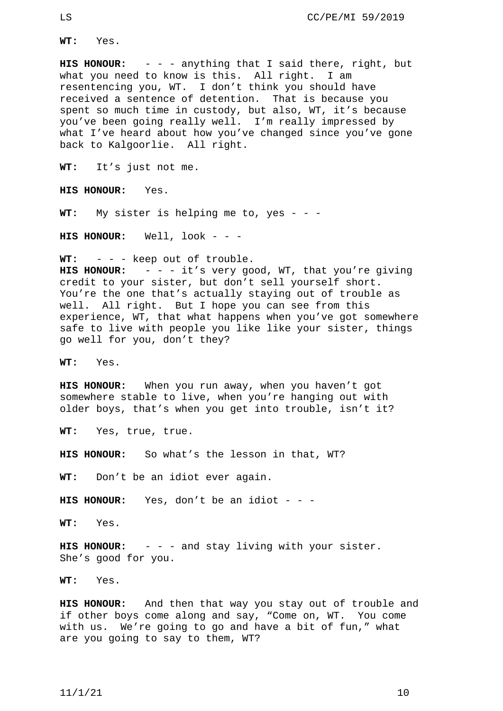**WT:** Yes.

**HIS HONOUR:** - - - anything that I said there, right, but what you need to know is this. All right. I am resentencing you, WT. I don't think you should have received a sentence of detention. That is because you spent so much time in custody, but also, WT, it's because you've been going really well. I'm really impressed by what I've heard about how you've changed since you've gone back to Kalgoorlie. All right.

**WT:** It's just not me.

**HIS HONOUR:** Yes.

**WT:** My sister is helping me to, yes - - -

**HIS HONOUR:** Well, look - - -

**WT:** - - - keep out of trouble.

**HIS HONOUR:** - - - it's very good, WT, that you're giving credit to your sister, but don't sell yourself short. You're the one that's actually staying out of trouble as well. All right. But I hope you can see from this experience, WT, that what happens when you've got somewhere safe to live with people you like like your sister, things go well for you, don't they?

**WT:** Yes.

**HIS HONOUR:** When you run away, when you haven't got somewhere stable to live, when you're hanging out with older boys, that's when you get into trouble, isn't it?

**WT:** Yes, true, true.

**HIS HONOUR:** So what's the lesson in that, WT?

**WT:** Don't be an idiot ever again.

**HIS HONOUR:** Yes, don't be an idiot - - -

**WT:** Yes.

**HIS HONOUR:** - - - and stay living with your sister. She's good for you.

**WT:** Yes.

**HIS HONOUR:** And then that way you stay out of trouble and if other boys come along and say, "Come on, WT. You come with us. We're going to go and have a bit of fun," what are you going to say to them, WT?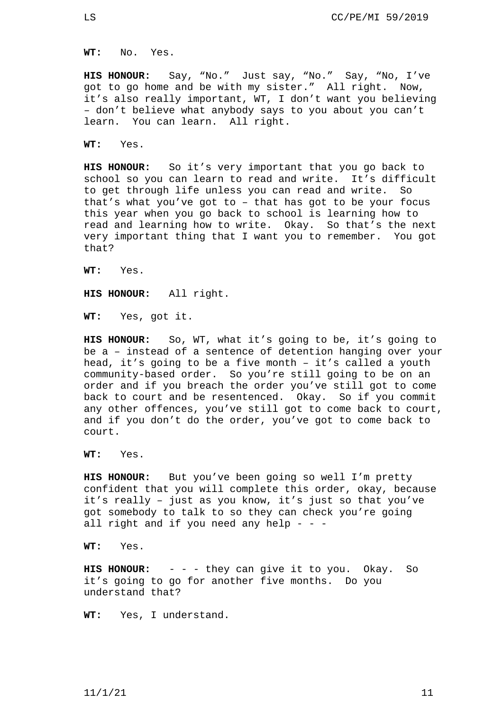**WT:** No. Yes.

**HIS HONOUR:** Say, "No." Just say, "No." Say, "No, I've got to go home and be with my sister." All right. Now, it's also really important, WT, I don't want you believing – don't believe what anybody says to you about you can't learn. You can learn. All right.

**WT:** Yes.

**HIS HONOUR:** So it's very important that you go back to school so you can learn to read and write. It's difficult to get through life unless you can read and write. So that's what you've got to – that has got to be your focus this year when you go back to school is learning how to read and learning how to write. Okay. So that's the next very important thing that I want you to remember. You got that?

**WT:** Yes.

**HIS HONOUR:** All right.

**WT:** Yes, got it.

**HIS HONOUR:** So, WT, what it's going to be, it's going to be a – instead of a sentence of detention hanging over your head, it's going to be a five month – it's called a youth community-based order. So you're still going to be on an order and if you breach the order you've still got to come back to court and be resentenced. Okay. So if you commit any other offences, you've still got to come back to court, and if you don't do the order, you've got to come back to court.

**WT:** Yes.

**HIS HONOUR:** But you've been going so well I'm pretty confident that you will complete this order, okay, because it's really – just as you know, it's just so that you've got somebody to talk to so they can check you're going all right and if you need any help - - -

**WT:** Yes.

**HIS HONOUR:** - - - they can give it to you. Okay. So it's going to go for another five months. Do you understand that?

**WT:** Yes, I understand.